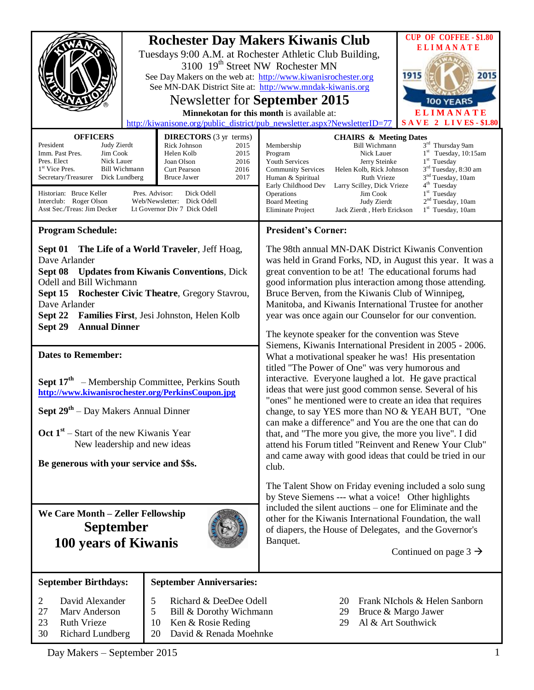|                                                                                                                                                                                                                                                                                                                                                                                                                                                                                                                                                 |                                                                                                                                                            | <b>Rochester Day Makers Kiwanis Club</b><br>Tuesdays 9:00 A.M. at Rochester Athletic Club Building,<br>3100 19 <sup>th</sup> Street NW Rochester MN<br>See Day Makers on the web at: http://www.kiwanisrochester.org<br>See MN-DAK District Site at: http://www.mndak-kiwanis.org<br>Newsletter for September 2015<br>Minnekotan for this month is available at:<br>http://kiwanisone.org/public_district/pub_newsletter.aspx?NewsletterID=77                                                                                                                                                                                                                                                                                                                                                                                                                                                                                                                                                                                                                                                                                                                  | <b>CUP OF COFFEE - \$1.80</b><br><b>ELIMANATE</b><br>1915<br>2015<br><b>100 YEARS</b><br><b>ELIMANATE</b><br><b>SAVE 2 LIVES-\$1.80</b>                                                                                              |
|-------------------------------------------------------------------------------------------------------------------------------------------------------------------------------------------------------------------------------------------------------------------------------------------------------------------------------------------------------------------------------------------------------------------------------------------------------------------------------------------------------------------------------------------------|------------------------------------------------------------------------------------------------------------------------------------------------------------|----------------------------------------------------------------------------------------------------------------------------------------------------------------------------------------------------------------------------------------------------------------------------------------------------------------------------------------------------------------------------------------------------------------------------------------------------------------------------------------------------------------------------------------------------------------------------------------------------------------------------------------------------------------------------------------------------------------------------------------------------------------------------------------------------------------------------------------------------------------------------------------------------------------------------------------------------------------------------------------------------------------------------------------------------------------------------------------------------------------------------------------------------------------|--------------------------------------------------------------------------------------------------------------------------------------------------------------------------------------------------------------------------------------|
| <b>OFFICERS</b><br><b>DIRECTORS</b> (3 yr terms)<br>President<br>Judy Zierdt<br><b>Rick Johnson</b><br>2015<br>Imm. Past Pres.<br>Jim Cook<br>Helen Kolb<br>2015<br>Pres. Elect<br>Nick Lauer<br>2016<br>Joan Olson<br>1 <sup>st</sup> Vice Pres.<br><b>Bill Wichmann</b><br>Curt Pearson<br>2016<br>Secretary/Treasurer Dick Lundberg<br>2017<br>Bruce Jawer<br>Pres. Advisor:<br>Historian: Bruce Keller<br>Dick Odell<br>Interclub: Roger Olson<br>Web/Newsletter: Dick Odell<br>Asst Sec./Treas: Jim Decker<br>Lt Governor Div 7 Dick Odell |                                                                                                                                                            | <b>CHAIRS &amp; Meeting Dates</b><br>Membership<br><b>Bill Wichmann</b><br>Program<br>Nick Lauer<br><b>Youth Services</b><br>Jerry Steinke<br><b>Community Services</b><br>Helen Kolb, Rick Johnson<br>Ruth Vrieze<br>Human & Spiritual<br>Early Childhood Dev<br>Larry Scilley, Dick Vrieze<br>Operations<br>Jim Cook<br><b>Board Meeting</b><br>Judy Zierdt<br>Eliminate Project<br>Jack Zierdt, Herb Erickson                                                                                                                                                                                                                                                                                                                                                                                                                                                                                                                                                                                                                                                                                                                                               | 3rd Thursday 9am<br>$1st$ Tuesday, 10:15am<br>$1st$ Tuesday<br>3 <sup>rd</sup> Tuesday, 8:30 am<br>3 <sup>nd</sup> Tuesday, 10am<br>$4th$ Tuesday<br>1 <sup>st</sup> Tuesday<br>2 <sup>nd</sup> Tuesday, 10am<br>$1st$ Tuesday, 10am |
| <b>Program Schedule:</b><br>Sept 01 The Life of a World Traveler, Jeff Hoag,<br>Dave Arlander<br>Sept 08<br><b>Updates from Kiwanis Conventions, Dick</b><br>Odell and Bill Wichmann<br>Sept 15<br><b>Rochester Civic Theatre, Gregory Stavrou,</b><br>Dave Arlander<br>Families First, Jesi Johnston, Helen Kolb<br>Sept 22                                                                                                                                                                                                                    |                                                                                                                                                            | <b>President's Corner:</b><br>The 98th annual MN-DAK District Kiwanis Convention<br>was held in Grand Forks, ND, in August this year. It was a<br>great convention to be at! The educational forums had<br>good information plus interaction among those attending.<br>Bruce Berven, from the Kiwanis Club of Winnipeg,<br>Manitoba, and Kiwanis International Trustee for another<br>year was once again our Counselor for our convention.<br>The keynote speaker for the convention was Steve<br>Siemens, Kiwanis International President in 2005 - 2006.<br>What a motivational speaker he was! His presentation<br>titled "The Power of One" was very humorous and<br>interactive. Everyone laughed a lot. He gave practical<br>ideas that were just good common sense. Several of his<br>"ones" he mentioned were to create an idea that requires<br>change, to say YES more than NO & YEAH BUT, "One<br>can make a difference" and You are the one that can do<br>that, and "The more you give, the more you live". I did<br>attend his Forum titled "Reinvent and Renew Your Club"<br>and came away with good ideas that could be tried in our<br>club. |                                                                                                                                                                                                                                      |
| <b>Annual Dinner</b><br>Sept 29<br><b>Dates to Remember:</b><br>Sept 17 <sup>th</sup> – Membership Committee, Perkins South<br>http://www.kiwanisrochester.org/PerkinsCoupon.jpg<br>Sept 29 <sup>th</sup> – Day Makers Annual Dinner<br>Oct $1st$ – Start of the new Kiwanis Year<br>New leadership and new ideas<br>Be generous with your service and \$\$s.                                                                                                                                                                                   |                                                                                                                                                            |                                                                                                                                                                                                                                                                                                                                                                                                                                                                                                                                                                                                                                                                                                                                                                                                                                                                                                                                                                                                                                                                                                                                                                |                                                                                                                                                                                                                                      |
| We Care Month - Zeller Fellowship<br><b>September</b><br>100 years of Kiwanis                                                                                                                                                                                                                                                                                                                                                                                                                                                                   |                                                                                                                                                            | The Talent Show on Friday evening included a solo sung<br>by Steve Siemens --- what a voice! Other highlights<br>included the silent auctions – one for Eliminate and the<br>other for the Kiwanis International Foundation, the wall<br>of diapers, the House of Delegates, and the Governor's<br>Banquet.<br>Continued on page $3 \rightarrow$                                                                                                                                                                                                                                                                                                                                                                                                                                                                                                                                                                                                                                                                                                                                                                                                               |                                                                                                                                                                                                                                      |
| <b>September Birthdays:</b><br>David Alexander<br>$\overline{2}$<br>27<br>Mary Anderson<br>23<br><b>Ruth Vrieze</b><br>30<br>Richard Lundberg                                                                                                                                                                                                                                                                                                                                                                                                   | <b>September Anniversaries:</b><br>5<br>Richard & DeeDee Odell<br>5<br>Bill & Dorothy Wichmann<br>10<br>Ken & Rosie Reding<br>20<br>David & Renada Moehnke | 20<br>29<br>Al & Art Southwick<br>29                                                                                                                                                                                                                                                                                                                                                                                                                                                                                                                                                                                                                                                                                                                                                                                                                                                                                                                                                                                                                                                                                                                           | Frank NIchols & Helen Sanborn<br>Bruce & Margo Jawer                                                                                                                                                                                 |

Day Makers – September 2015 1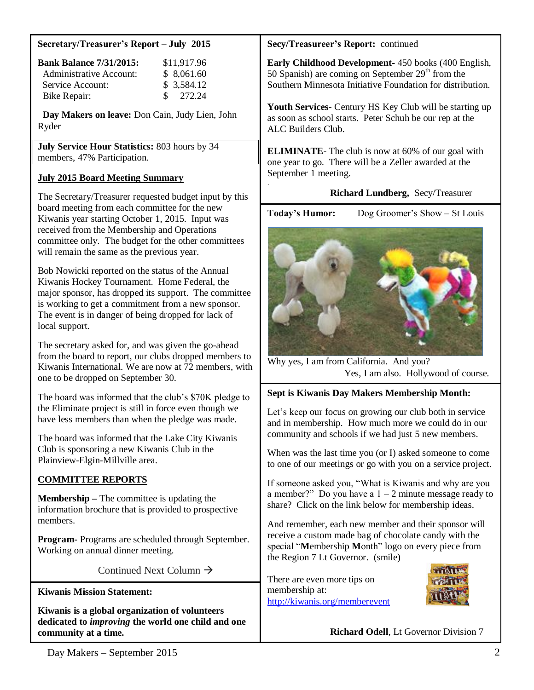#### **Secretary/Treasurer's Report – July 2015**

| <b>Bank Balance 7/31/2015:</b> | \$11,917.96         |
|--------------------------------|---------------------|
| Administrative Account:        | \$8,061.60          |
| Service Account:               | \$3,584.12          |
| Bike Repair:                   | $\frac{\$}{272.24}$ |

 **Day Makers on leave:** Don Cain, Judy Lien, John Ryder

**July Service Hour Statistics:** 803 hours by 34 members, 47% Participation.

# **July 2015 Board Meeting Summary**

The Secretary/Treasurer requested budget input by this board meeting from each committee for the new Kiwanis year starting October 1, 2015. Input was received from the Membership and Operations committee only. The budget for the other committees will remain the same as the previous year.

Bob Nowicki reported on the status of the Annual Kiwanis Hockey Tournament. Home Federal, the major sponsor, has dropped its support. The committee is working to get a commitment from a new sponsor. The event is in danger of being dropped for lack of local support.

The secretary asked for, and was given the go-ahead from the board to report, our clubs dropped members to Kiwanis International. We are now at 72 members, with one to be dropped on September 30.

The board was informed that the club's \$70K pledge to the Eliminate project is still in force even though we have less members than when the pledge was made.

The board was informed that the Lake City Kiwanis Club is sponsoring a new Kiwanis Club in the Plainview-Elgin-Millville area.

# **COMMITTEE REPORTS**

**Membership –** The committee is updating the information brochure that is provided to prospective members.

**Program-** Programs are scheduled through September. Working on annual dinner meeting.

Continued Next Column  $\rightarrow$ 

**Kiwanis Mission Statement:**

**Kiwanis is a global organization of volunteers dedicated to** *improving* **the world one child and one community at a time.**

## **Secy/Treasureer's Report:** continued

**Early Childhood Development-** 450 books (400 English, 50 Spanish) are coming on September  $29<sup>th</sup>$  from the Southern Minnesota Initiative Foundation for distribution.

**Youth Services-** Century HS Key Club will be starting up as soon as school starts. Peter Schuh be our rep at the ALC Builders Club.

**ELIMINATE**- The club is now at 60% of our goal with one year to go. There will be a Zeller awarded at the September 1 meeting.

## **Richard Lundberg,** Secy/Treasurer

.

Today's Humor: Dog Groomer's Show – St Louis



Why yes, I am from California. And you? Yes, I am also. Hollywood of course.

#### **Sept is Kiwanis Day Makers Membership Month:**

Let's keep our focus on growing our club both in service and in membership. How much more we could do in our community and schools if we had just 5 new members.

When was the last time you (or I) asked someone to come to one of our meetings or go with you on a service project.

If someone asked you, "What is Kiwanis and why are you a member?" Do you have a  $1 - 2$  minute message ready to share? Click on the link below for membership ideas.

And remember, each new member and their sponsor will receive a custom made bag of chocolate candy with the special "**M**embership **M**onth" logo on every piece from the Region 7 Lt Governor. (smile)

There are even more tips on membership at: <http://kiwanis.org/memberevent>



**Richard Odell**, Lt Governor Division 7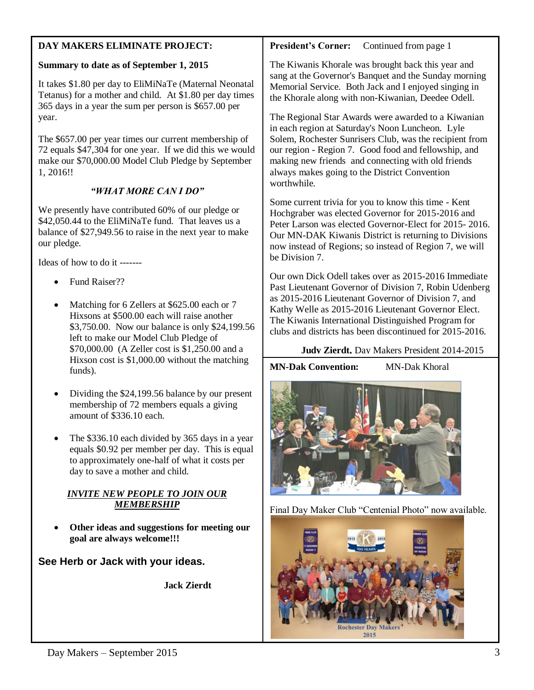| DAY MAKERS ELIMINATE PROJECT:                                                                                                                                                                                                    | <b>President's Corner:</b><br>Continued from page 1                                                                                                                                                                                                                                                                                                                                                                                                                                                                                                                           |  |
|----------------------------------------------------------------------------------------------------------------------------------------------------------------------------------------------------------------------------------|-------------------------------------------------------------------------------------------------------------------------------------------------------------------------------------------------------------------------------------------------------------------------------------------------------------------------------------------------------------------------------------------------------------------------------------------------------------------------------------------------------------------------------------------------------------------------------|--|
| Summary to date as of September 1, 2015<br>It takes \$1.80 per day to EliMiNaTe (Maternal Neonatal<br>Tetanus) for a mother and child. At \$1.80 per day times<br>365 days in a year the sum per person is \$657.00 per<br>year. | The Kiwanis Khorale was brought back this year and<br>sang at the Governor's Banquet and the Sunday morning<br>Memorial Service. Both Jack and I enjoyed singing in<br>the Khorale along with non-Kiwanian, Deedee Odell.<br>The Regional Star Awards were awarded to a Kiwanian<br>in each region at Saturday's Noon Luncheon. Lyle<br>Solem, Rochester Sunrisers Club, was the recipient from<br>our region - Region 7. Good food and fellowship, and<br>making new friends and connecting with old friends<br>always makes going to the District Convention<br>worthwhile. |  |
| The \$657.00 per year times our current membership of<br>72 equals \$47,304 for one year. If we did this we would<br>make our \$70,000.00 Model Club Pledge by September<br>1, 2016!!<br>"WHAT MORE CAN I DO"                    |                                                                                                                                                                                                                                                                                                                                                                                                                                                                                                                                                                               |  |
|                                                                                                                                                                                                                                  | Some current trivia for you to know this time - Kent<br>Hochgraber was elected Governor for 2015-2016 and<br>Peter Larson was elected Governor-Elect for 2015-2016.<br>Our MN-DAK Kiwanis District is returning to Divisions<br>now instead of Regions; so instead of Region 7, we will                                                                                                                                                                                                                                                                                       |  |
| We presently have contributed 60% of our pledge or<br>\$42,050.44 to the EliMiNaTe fund. That leaves us a<br>balance of \$27,949.56 to raise in the next year to make<br>our pledge.                                             |                                                                                                                                                                                                                                                                                                                                                                                                                                                                                                                                                                               |  |
| Ideas of how to do it -------                                                                                                                                                                                                    | be Division 7.                                                                                                                                                                                                                                                                                                                                                                                                                                                                                                                                                                |  |
| Fund Raiser??<br>Matching for 6 Zellers at \$625.00 each or 7<br>$\bullet$<br>Hixsons at \$500.00 each will raise another<br>\$3,750.00. Now our balance is only \$24,199.56<br>left to make our Model Club Pledge of            | Our own Dick Odell takes over as 2015-2016 Immediate<br>Past Lieutenant Governor of Division 7, Robin Udenberg<br>as 2015-2016 Lieutenant Governor of Division 7, and<br>Kathy Welle as 2015-2016 Lieutenant Governor Elect.<br>The Kiwanis International Distinguished Program for<br>clubs and districts has been discontinued for 2015-2016.                                                                                                                                                                                                                               |  |
| \$70,000.00 (A Zeller cost is \$1,250.00 and a<br>Hixson cost is \$1,000.00 without the matching                                                                                                                                 | <b>Judy Zierdt.</b> Dav Makers President 2014-2015                                                                                                                                                                                                                                                                                                                                                                                                                                                                                                                            |  |
| funds).                                                                                                                                                                                                                          | <b>MN-Dak Convention:</b><br><b>MN-Dak Khoral</b>                                                                                                                                                                                                                                                                                                                                                                                                                                                                                                                             |  |
| Dividing the \$24,199.56 balance by our present<br>membership of 72 members equals a giving<br>amount of \$336.10 each.                                                                                                          |                                                                                                                                                                                                                                                                                                                                                                                                                                                                                                                                                                               |  |
| The \$336.10 each divided by 365 days in a year<br>equals \$0.92 per member per day. This is equal<br>to approximately one-half of what it costs per<br>day to save a mother and child.                                          |                                                                                                                                                                                                                                                                                                                                                                                                                                                                                                                                                                               |  |
| <b>INVITE NEW PEOPLE TO JOIN OUR</b><br><b>MEMBERSHIP</b>                                                                                                                                                                        |                                                                                                                                                                                                                                                                                                                                                                                                                                                                                                                                                                               |  |
|                                                                                                                                                                                                                                  | Final Day Maker Club "Centenial Photo" now available.                                                                                                                                                                                                                                                                                                                                                                                                                                                                                                                         |  |
| Other ideas and suggestions for meeting our<br>goal are always welcome!!!                                                                                                                                                        |                                                                                                                                                                                                                                                                                                                                                                                                                                                                                                                                                                               |  |
| See Herb or Jack with your ideas.                                                                                                                                                                                                |                                                                                                                                                                                                                                                                                                                                                                                                                                                                                                                                                                               |  |

**Jack Zierdt**

Rochester Day Makers